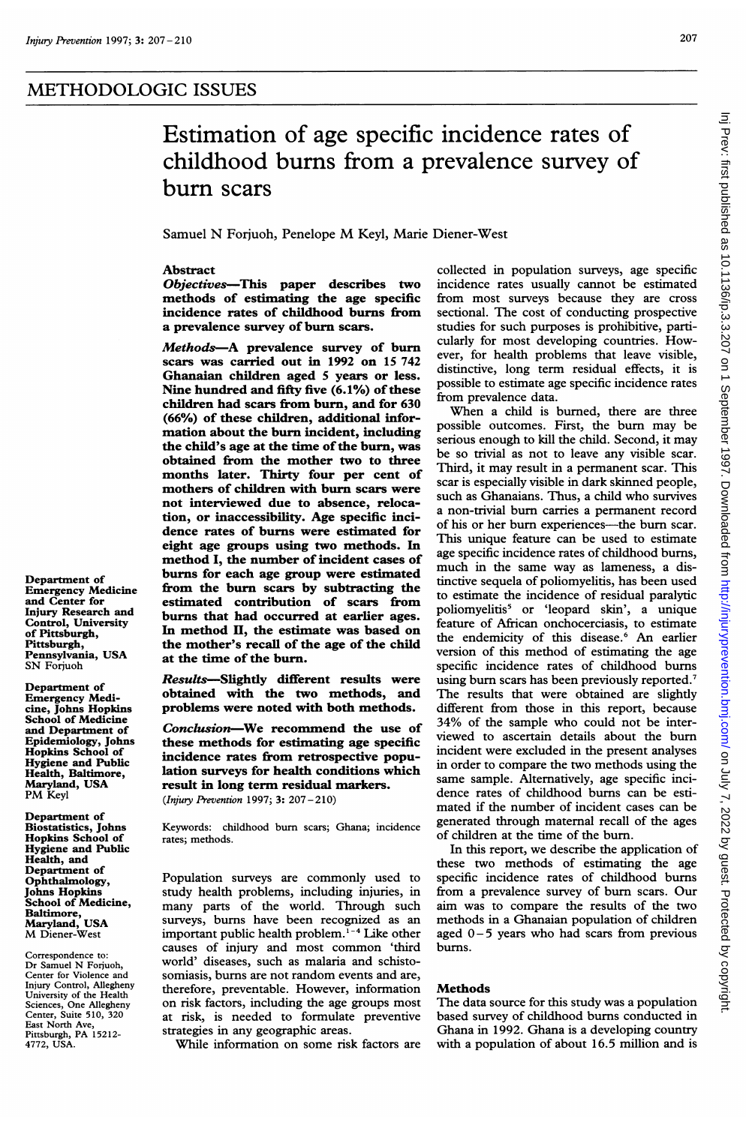Department of Emergency Medicine and Center for Injury Research and Control, University of Pittsburgh, Pittsburgh, Pennsylvania, USA SN Forjuoh Department of Emergency Medi-cine, Johns Hopkins School of Medicine and Department of Epidemiology, Johns Hopkins School of

Hygiene and Public Health, Baltimore, Maryland, USA PM Keyl

Department of Biostatistics, Johns Hopkins School of Hygiene and Public Health, and Department of Ophthalmology, Johns Hopkins School of Medicine, Baltimore, Maryland, USA M Diener-West

Correspondence to: Dr Samuel N Forjuoh, Center for Violence and Injury Control, Allegheny University of the Health Sciences, One Allegheny Center, Suite 510, 320

East North Ave, Pittsburgh, PA 15212-4772, USA.

# METHODOLOGIC ISSUES

# Estimation of age specific incidence rates of childhood burns from a prevalence survey of burn scars

Samuel N Forjuoh, Penelope M Keyl, Marie Diener-West

#### Abstract

Objectives-This paper describes two methods of estimating the age specific incidence rates of childhood burns from a prevalence survey of burn scars.

Methods-A prevalence survey of burn scars was carried out in 1992 on 15 742 Ghanaian children aged <sup>5</sup> years or less. Nine hundred and fifty five  $(6.1\%)$  of these children had scars from burn, and for 630 (66%) of these children, additional information about the burn incident, including the child's age at the time of the burn, was obtained from the mother two to three months later. Thirty four per cent of mothers of children with burn scars were not interviewed due to absence, relocation, or inaccessibility. Age specific incidence rates of burns were estimated for eight age groups using two methods. In method I, the number of incident cases of burns for each age group were estimated from the burn scars by subtracting the estimated contribution of scars from burns that had occurred at earlier ages. In method II, the estimate was based on the mother's recall of the age of the child at the time of the burn.

Results-Slightly different results were obtained with the two methods, and problems were noted with both methods.

Conclusion-We recommend the use of these methods for estimating age specific incidence rates from retrospective population surveys for health conditions which result in long term residual markers. (Injury Prevention 1997; 3: 207 - 210)

Keywords: childhood burn scars; Ghana; incidence rates; methods.

Population surveys are commonly used to study health problems, including injuries, in many parts of the world. Through such surveys, burns have been recognized as an important public health problem.'-4 Like other causes of injury and most common 'third world' diseases, such as malaria and schistosomiasis, bums are not random events and are, therefore, preventable. However, information on risk factors, including the age groups most at risk, is needed to formulate preventive strategies in any geographic areas.

While information on some risk factors are

collected in population surveys, age specific incidence rates usually cannot be estimated from most surveys because they are cross sectional. The cost of conducting prospective studies for such purposes is prohibitive, particularly for most developing countries. However, for health problems that leave visible, distinctive, long term residual effects, it is possible to estimate age specific incidence rates from prevalence data.

When <sup>a</sup> child is burned, there are three possible outcomes. First, the burn may be serious enough to kill the child. Second, it may be so trivial as not to leave any visible scar. Third, it may result in a permanent scar. This scar is especially visible in dark skinned people, such as Ghanaians. Thus, <sup>a</sup> child who survives a non-trivial burn carries a permanent record of his or her burn experiences-the burn scar. This unique feature can be used to estimate age specific incidence rates of childhood burns, much in the same way as lameness, a distinctive sequela of poliomyelitis, has been used to estimate the incidence of residual paralytic poliomyelitis' or 'leopard skin', a unique feature of African onchocerciasis, to estimate the endemicity of this disease.<sup>6</sup> An earlier version of this method of estimating the age specific incidence rates of childhood burns using burn scars has been previously reported.<sup>7</sup> The results that were obtained are slightly different from those in this report, because 34% of the sample who could not be interviewed to ascertain details about the burn incident were excluded in the present analyses in order to compare the two methods using the same sample. Alternatively, age specific incidence rates of childhood burns can be estimated if the number of incident cases can be generated through maternal recall of the ages of children at the time of the burn.

In this report, we describe the application of these two methods of estimating the age specific incidence rates of childhood burns from a prevalence survey of burn scars. Our aim was to compare the results of the two methods in a Ghanaian population of children aged  $0-5$  years who had scars from previous burns.

### Methods

The data source for this study was a population based survey of childhood burns conducted in Ghana in 1992. Ghana is a developing country with a population of about 16.5 million and is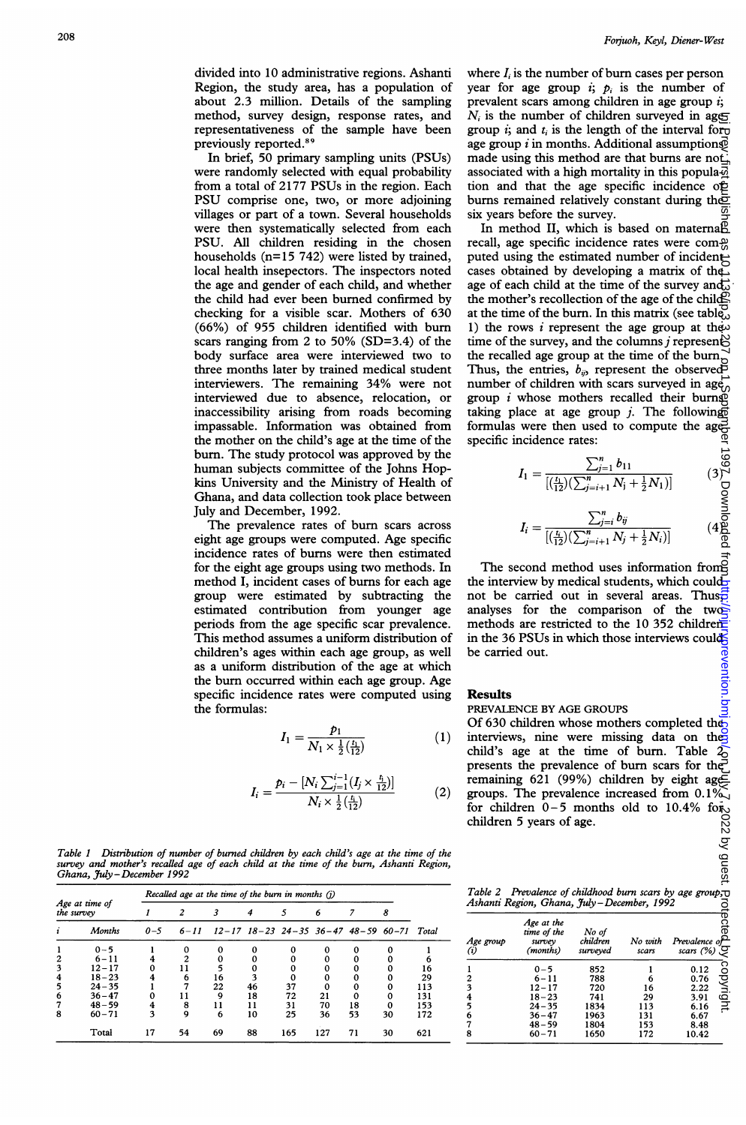In brief, 50 primary sampling units (PSUs) were randomly selected with equal probability from a total of 2177 PSUs in the region. Each PSU comprise one, two, or more adjoining villages or part of a town. Several households were then systematically selected from each PSU. All children residing in the chosen households (n=15 742) were listed by trained, local health insepectors. The inspectors noted the age and gender of each child, and whether the child had ever been burned confirmed by checking for a visible scar. Mothers of 630 (66%) of 955 children identified with burn scars ranging from 2 to 50% (SD=3.4) of the body surface area were interviewed two to three months later by trained medical student interviewers. The remaining 34% were not interviewed due to absence, relocation, or inaccessibility arising from roads becoming impassable. Information was obtained from the mother on the child's age at the time of the burn. The study protocol was approved by the human subjects committee of the Johns Hopkins University and the Ministry of Health of Ghana, and data collection took place between July and December, 1992.

The prevalence rates of burn scars across eight age groups were computed. Age specific incidence rates of burns were then estimated for the eight age groups using two methods. In method I, incident cases of burns for each age group were estimated by subtracting the estimated contribution from younger age periods from the age specific scar prevalence. This method assumes a uniform distribution of children's ages within each age group, as well as a uniform distribution of the age at which the burn occurred within each age group. Age specific incidence rates were computed using the formulas:

$$
I_1 = \frac{p_1}{N_1 \times \frac{1}{2} \left( \frac{t_1}{12} \right)}\tag{1}
$$

$$
I_i = \frac{p_i - [N_i \sum_{j=1}^{i-1} (I_j \times \frac{t_i}{12})]}{N_i \times \frac{1}{2} (\frac{t_i}{12})}
$$
(2)

Table <sup>I</sup> Distribution of number of burned children by each child's age at the time of the survey and mother's recalled age of each child at the time of the burn, Ashanti Region, Ghana, July-December 1992

|                              |           |         |          | Recalled age at the time of the burn in months $(i)$ |    |                                                             |     |    |    |       |
|------------------------------|-----------|---------|----------|------------------------------------------------------|----|-------------------------------------------------------------|-----|----|----|-------|
| Age at time of<br>the survey |           |         | 2        | 3                                                    | 4  | 5                                                           | 6   |    | 8  |       |
| i                            | Months    | $0 - 5$ | $6 - 11$ |                                                      |    | $12 - 17$ $18 - 23$ $24 - 35$ $36 - 47$ $48 - 59$ $60 - 71$ |     |    |    | Total |
|                              | $0 - 5$   |         |          |                                                      |    |                                                             |     |    |    |       |
| 2                            | $6 - 11$  |         |          |                                                      |    |                                                             |     |    |    |       |
| 3                            | $12 - 17$ |         |          |                                                      |    |                                                             |     |    |    | 16    |
| 4                            | $18 - 23$ |         | 6        | 16                                                   | 3  |                                                             |     |    |    | 29    |
| 5                            | $24 - 35$ |         |          | 22                                                   | 46 | 37                                                          |     |    |    | 113   |
| 6                            | $36 - 47$ |         |          | ۹                                                    | 18 | 72                                                          | 21  |    |    | 131   |
| 7                            | $48 - 59$ | 4       | 8        | 11                                                   | 11 | 31                                                          | 70  | 18 |    | 153   |
| 8                            | $60 - 71$ | 3       | 9        | 6                                                    | 10 | 25                                                          | 36  | 53 | 30 | 172   |
|                              | Total     | 17      | 54       | 69                                                   | 88 | 165                                                         | 127 | 71 | 30 | 621   |

where  $I_i$  is the number of burn cases per person year for age group i;  $p_i$  is the number of prevalent scars among children in age group  $i$ ;  $N_i$  is the number of children surveyed in ages group *i*; and  $t_i$  is the length of the interval for age group *i* in months. Additional assumptions<sup>p</sup> made using this method are that burns are not. associated with a high mortality in this popula- $\vec{a}$ tion and that the age specific incidence of burns remained relatively constant during the  $\pm$ six years before the survey.

In method II, which is based on materna $\overline{B}$ recall, age specific incidence rates were computed using the estimated number of incident cases obtained by developing a matrix of the age of each child at the time of the survey and  $\vec{a}$ the mother's recollection of the age of the child at the time of the burn. In this matrix (see table.) 1) the rows  $i$  represent the age group at the $\omega$ time of the survey, and the columns j represents the recalled age group at the time of the burn. Thus, the entries,  $b_{ij}$ , represent the observed number of children with scars surveyed in  $\arg_{\theta}$ group  $i$  whose mothers recalled their burn $\check{q}$ taking place at age group  $j$ . The following formulas were then used to compute the age specific incidence rates:<br> $\sum_{i=1}^{n} b_i$ on July 1, 2022 by guest. Protect by 2022 by 1992 by cownloaded as 1992. Protected by comparison by copyright. Protect published as 10.113.2.2022 by 1998. Published for 10.113.2.202 by a 1 September 1997. Downloaded from 1

$$
I_1 = \frac{\sum_{j=1}^{n} b_{11}}{[(\frac{t_1}{12})(\sum_{j=i+1}^{n} N_j + \frac{1}{2}N_1)]}
$$
(3)

$$
I_{1} = \frac{\sum_{j=i+1}^{n} N_{j} + \frac{1}{2} N_{1}j}{[(\frac{i_{1}}{12})(\sum_{j=i+1}^{n} N_{j} + \frac{1}{2} N_{1})]}
$$
(3)  

$$
I_{i} = \frac{\sum_{j=i}^{n} b_{ij}}{[(\frac{i_{1}}{12})(\sum_{j=i+1}^{n} N_{j} + \frac{1}{2} N_{i})]}
$$
(4)

The second method uses information from the interview by medical students, which couldnot be carried out in several areas. Thus $\overrightarrow{D}$ analyses for the comparison of the two methods are restricted to the 10 352 children in the 36 PSUs in which those interviews could be carried out.

#### Results

#### PREVALENCE BY AGE GROUPS

Of 630 children whose mothers completed the interviews, nine were missing data on the child's age at the time of burn. Table  $\overline{2}$ presents the prevalence of burn scars for the remaining 621 (99%) children by eight age groups. The prevalence increased from  $0.1\%$ for children  $0-5$  months old to 10.4% for children 5 years of age.

|  | Table 2 Prevalence of childhood burn scars by age group, |  |  |
|--|----------------------------------------------------------|--|--|
|  | Ashanti Region, Ghana, July – December, 1992             |  |  |

| Age group<br>$\tilde{v}$ | Age at the<br>time of the<br>survev<br>(months) | No of<br>children<br>surveyed | No with<br>scars | $P$ $\overrightarrow{CD}$ $\overrightarrow{CD}$<br>$P$ $\overrightarrow{CD}$ $\overrightarrow{CD}$ $\overrightarrow{CD}$ $\overrightarrow{CD}$ $\overrightarrow{CD}$ $\overrightarrow{CD}$ $\overrightarrow{CD}$ $\overrightarrow{CD}$ $\overrightarrow{CD}$ $\overrightarrow{CD}$ $\overrightarrow{CD}$ $\overrightarrow{CD}$ $\overrightarrow{CD}$ $\overrightarrow{CD}$ $\overrightarrow{CD}$ $\overrightarrow{CD}$ $\overrightarrow{CD}$ $\overrightarrow{CD}$ $\overrightarrow{CD}$ $\overrightarrow{CD}$ $\overrightarrow{CD}$ $\overrightarrow{CD$<br>्ट<br>scars $(\%)$ |
|--------------------------|-------------------------------------------------|-------------------------------|------------------|---------------------------------------------------------------------------------------------------------------------------------------------------------------------------------------------------------------------------------------------------------------------------------------------------------------------------------------------------------------------------------------------------------------------------------------------------------------------------------------------------------------------------------------------------------------------------------|
|                          | $0 - 5$                                         | 852                           |                  | 8<br>0.12                                                                                                                                                                                                                                                                                                                                                                                                                                                                                                                                                                       |
| 2                        | $6 - 11$                                        | 788                           | 6                | pyright.<br>0.76                                                                                                                                                                                                                                                                                                                                                                                                                                                                                                                                                                |
| 3                        | $12 - 17$                                       | 720                           | 16               | 2.22                                                                                                                                                                                                                                                                                                                                                                                                                                                                                                                                                                            |
| 4                        | $18 - 23$                                       | 741                           | 29               | 3.91                                                                                                                                                                                                                                                                                                                                                                                                                                                                                                                                                                            |
| 5                        | $24 - 35$                                       | 1834                          | 113              | 6.16                                                                                                                                                                                                                                                                                                                                                                                                                                                                                                                                                                            |
| 6                        | $36 - 47$                                       | 1963                          | 131              | 6.67                                                                                                                                                                                                                                                                                                                                                                                                                                                                                                                                                                            |
|                          | $48 - 59$                                       | 1804                          | 153              | 8.48                                                                                                                                                                                                                                                                                                                                                                                                                                                                                                                                                                            |
| 8                        | $60 - 71$                                       | 1650                          | 172              | 10.42                                                                                                                                                                                                                                                                                                                                                                                                                                                                                                                                                                           |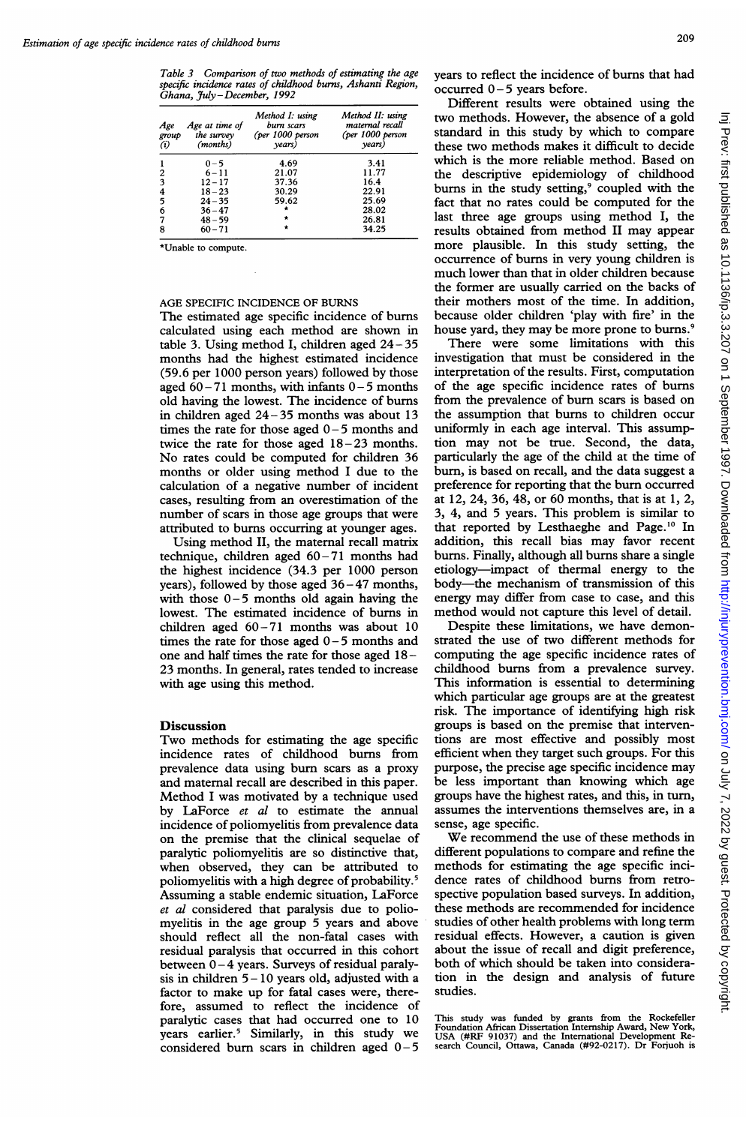Table 3 Comparison of two methods of estimating the age specific incidence rates of childhood burns, Ashanti Region, Ghana, July-December, 1992

| Age<br>group<br>(i) | Age at time of<br>the survey<br>(months) | Method I: using<br>burn scars<br>(per 1000 person<br>years) | Method II: using<br>maternal recall<br>(per 1000 person<br>vears) |
|---------------------|------------------------------------------|-------------------------------------------------------------|-------------------------------------------------------------------|
|                     | $0 - 5$                                  | 4.69                                                        | 3.41                                                              |
| $\mathbf{2}$        | 6–11                                     | 21.07                                                       | 11.77                                                             |
| 3                   | $12 - 17$                                | 37.36                                                       | 16.4                                                              |
| 4                   | $18 - 23$                                | 30.29                                                       | 22.91                                                             |
| 5                   | $24 - 35$                                | 59.62                                                       | 25.69                                                             |
| 6                   | $36 - 47$                                | $\star$                                                     | 28.02                                                             |
| 7                   | $48 - 59$                                | $\star$                                                     | 26.81                                                             |
| 8                   | $60 - 71$                                | $\star$                                                     | 34.25                                                             |

\*Unable to compute.

# AGE SPECIFIC INCIDENCE OF BURNS

The estimated age specific incidence of bums calculated using each method are shown in table 3. Using method I, children aged  $24-35$ months had the highest estimated incidence (59.6 per 1000 person years) followed by those aged  $60 - 71$  months, with infants  $0 - 5$  months old having the lowest. The incidence of bums in children aged  $24-35$  months was about 13 times the rate for those aged  $0-5$  months and twice the rate for those aged 18-23 months. No rates could be computed for children 36 months or older using method <sup>I</sup> due to the calculation of a negative number of incident cases, resulting from an overestimation of the number of scars in those age groups that were attributed to bums occurring at younger ages.

Using method II, the matemal recall matrix technique, children aged 60-71 months had the highest incidence (34.3 per 1000 person years), followed by those aged 36-47 months, with those  $0-5$  months old again having the lowest. The estimated incidence of bums in children aged 60-71 months was about 10 times the rate for those aged  $0-5$  months and one and half times the rate for those aged 18- 23 months. In general, rates tended to increase with age using this method.

#### Discussion

Two methods for estimating the age specific incidence rates of childhood burns from prevalence data using bum scars as <sup>a</sup> proxy and matemal recall are described in this paper. Method <sup>I</sup> was motivated by a technique used by LaForce et al to estimate the annual incidence of poliomyelitis from prevalence data on the premise that the clinical sequelae of paralytic poliomyelitis are so distinctive that, when observed, they can be attributed to poliomyelitis with a high degree of probability.5 Assuming a stable endemic situation, LaForce et al considered that paralysis due to poliomyelitis in the age group 5 years and above should reflect all the non-fatal cases with residual paralysis that occurred in this cohort between  $0 - 4$  years. Surveys of residual paralysis in children  $5 - 10$  years old, adjusted with a factor to make up for fatal cases were, therefore, assumed to reflect the incidence of paralytic cases that had occurred one to 10 years earlier.5 Similarly, in this study we considered bum scars in children aged 0-5

years to reflect the incidence of bums that had occurred  $0-5$  years before.

Different results were obtained using the two methods. However, the absence of a gold standard in this study by which to compare these two methods makes it difficult to decide which is the more reliable method. Based on the descriptive epidemiology of childhood burns in the study setting,<sup>9</sup> coupled with the fact that no rates could be computed for the last three age groups using method I, the results obtained from method II may appear more plausible. In this study setting, the occurrence of bums in very young children is much lower than that in older children because the former are usually carried on the backs of their mothers most of the time. In addition, because older children 'play with fire' in the house yard, they may be more prone to burns.<sup>9</sup>

There were some limitations with this investigation that must be considered in the interpretation of the results. First, computation of the age specific incidence rates of bums from the prevalence of bum scars is based on the assumption that bums to children occur uniformly in each age interval. This assumption may not be true. Second, the data, particularly the age of the child at the time of bum, is based on recall, and the data suggest a preference for reporting that the bum occurred at 12, 24, 36, 48, or 60 months, that is at 1, 2, 3, 4, and 5 years. This problem is similar to that reported by Lesthaeghe and Page.<sup>10</sup> In addition, this recall bias may favor recent bums. Finally, although all bums share <sup>a</sup> single etiology-impact of thermal energy to the body-the mechanism of transmission of this energy may differ from case to case, and this method would not capture this level of detail.

Despite these limitations, we have demonstrated the use of two different methods for computing the age specific incidence rates of childhood burns from a prevalence survey. This information is essential to determining which particular age groups are at the greatest risk. The importance of identifying high risk groups is based on the premise that interventions are most effective and possibly most efficient when they target such groups. For this purpose, the precise age specific incidence may be less important than knowing which age groups have the highest rates, and this, in tum, assumes the interventions themselves are, in a sense, age specific.

We recommend the use of these methods in different populations to compare and refine the methods for estimating the age specific incidence rates of childhood burns from retrospective population based surveys. In addition, these methods are recommended for incidence studies of other health problems with long term residual effects. However, a caution is given about the issue of recall and digit preference, both of which should be taken into consideration in the design and analysis of future studies.

This study was funded by grants from the Rockefeller Foundation African Dissertation Internship Award, New York, USA (#RF 91037) and the Intemational Development Research Council, Ottawa, Canada (#92-0217). Dr Forjuoh is